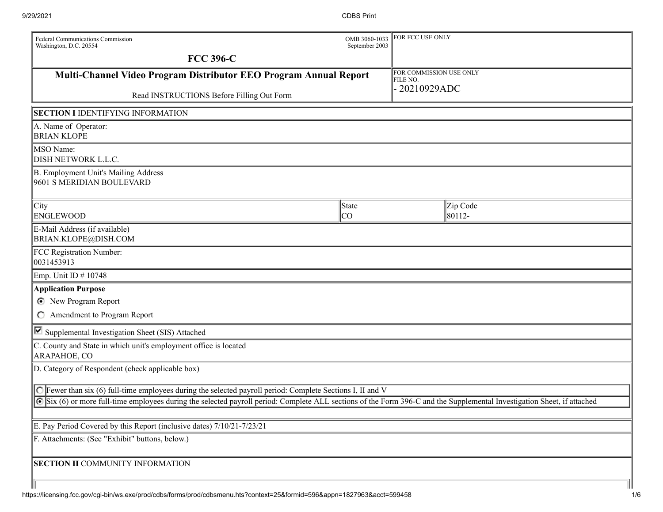| Federal Communications Commission<br>Washington, D.C. 20554                                                                                                           | OMB 3060-1033<br>September 2003 | FOR FCC USE ONLY                    |                    |
|-----------------------------------------------------------------------------------------------------------------------------------------------------------------------|---------------------------------|-------------------------------------|--------------------|
| <b>FCC 396-C</b>                                                                                                                                                      |                                 |                                     |                    |
| Multi-Channel Video Program Distributor EEO Program Annual Report                                                                                                     |                                 | FOR COMMISSION USE ONLY<br>FILE NO. |                    |
| Read INSTRUCTIONS Before Filling Out Form                                                                                                                             |                                 | 20210929ADC                         |                    |
| <b>SECTION I IDENTIFYING INFORMATION</b>                                                                                                                              |                                 |                                     |                    |
| A. Name of Operator:<br><b>BRIAN KLOPE</b>                                                                                                                            |                                 |                                     |                    |
| MSO Name:<br>DISH NETWORK L.L.C.                                                                                                                                      |                                 |                                     |                    |
| B. Employment Unit's Mailing Address<br>9601 S MERIDIAN BOULEVARD                                                                                                     |                                 |                                     |                    |
| $\ $ City<br>ENGLEWOOD                                                                                                                                                | State<br> CO                    |                                     | Zip Code<br>80112- |
| E-Mail Address (if available)<br>BRIAN.KLOPE@DISH.COM                                                                                                                 |                                 |                                     |                    |
| FCC Registration Number:<br>0031453913                                                                                                                                |                                 |                                     |                    |
| Emp. Unit ID $\#$ 10748                                                                                                                                               |                                 |                                     |                    |
| <b>Application Purpose</b>                                                                                                                                            |                                 |                                     |                    |
| <b>C</b> New Program Report<br>C Amendment to Program Report                                                                                                          |                                 |                                     |                    |
| □ Supplemental Investigation Sheet (SIS) Attached                                                                                                                     |                                 |                                     |                    |
| C. County and State in which unit's employment office is located<br>ARAPAHOE, CO                                                                                      |                                 |                                     |                    |
| D. Category of Respondent (check applicable box)                                                                                                                      |                                 |                                     |                    |
| <b>C</b> Fewer than six (6) full-time employees during the selected payroll period: Complete Sections I, II and V                                                     |                                 |                                     |                    |
| Six (6) or more full-time employees during the selected payroll period: Complete ALL sections of the Form 396-C and the Supplemental Investigation Sheet, if attached |                                 |                                     |                    |
| E. Pay Period Covered by this Report (inclusive dates) 7/10/21-7/23/21                                                                                                |                                 |                                     |                    |
| F. Attachments: (See "Exhibit" buttons, below.)                                                                                                                       |                                 |                                     |                    |
| <b>SECTION II COMMUNITY INFORMATION</b>                                                                                                                               |                                 |                                     |                    |
|                                                                                                                                                                       |                                 |                                     |                    |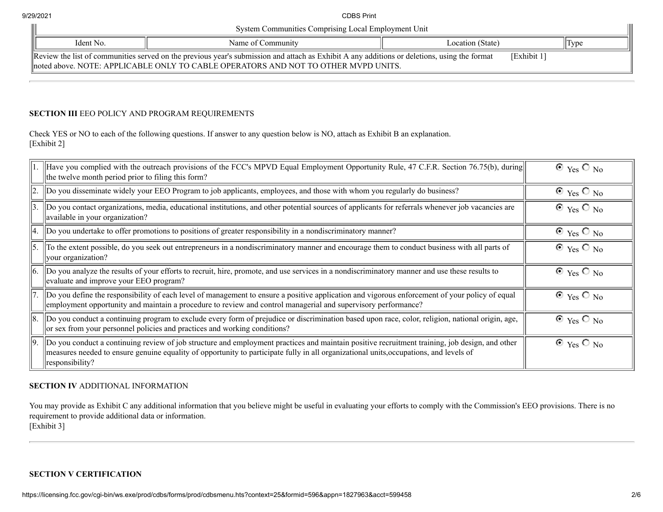| System Communities Comprising Local Employment Unit                                                                                                         |                   |                  |      |
|-------------------------------------------------------------------------------------------------------------------------------------------------------------|-------------------|------------------|------|
| Ident No.                                                                                                                                                   | Name of Community | Location (State) | Type |
| Review the list of communities served on the previous year's submission and attach as Exhibit A any additions or deletions, using the format<br>[Exhibit 1] |                   |                  |      |
| noted above. NOTE: APPLICABLE ONLY TO CABLE OPERATORS AND NOT TO OTHER MVPD UNITS.                                                                          |                   |                  |      |

## **SECTION III** EEO POLICY AND PROGRAM REQUIREMENTS

Check YES or NO to each of the following questions. If answer to any question below is NO, attach as Exhibit B an explanation. [Exhibit 2]

|                  | Have you complied with the outreach provisions of the FCC's MPVD Equal Employment Opportunity Rule, 47 C.F.R. Section 76.75(b), during<br>the twelve month period prior to filing this form?                                                                                                                            | $\odot$ Yes $\odot$ No |
|------------------|-------------------------------------------------------------------------------------------------------------------------------------------------------------------------------------------------------------------------------------------------------------------------------------------------------------------------|------------------------|
| 2.               | Do you disseminate widely your EEO Program to job applicants, employees, and those with whom you regularly do business?                                                                                                                                                                                                 | $\odot$ Yes $\odot$ No |
| 3.               | Do you contact organizations, media, educational institutions, and other potential sources of applicants for referrals whenever job vacancies are<br>available in your organization?                                                                                                                                    | $\odot$ Yes $\odot$ No |
| 14.              | Do you undertake to offer promotions to positions of greater responsibility in a nondiscriminatory manner?                                                                                                                                                                                                              | $\odot$ Yes $\odot$ No |
| $\vert$ 5.       | To the extent possible, do you seek out entrepreneurs in a nondiscriminatory manner and encourage them to conduct business with all parts of<br>your organization?                                                                                                                                                      | $\odot$ Yes $\odot$ No |
| $\vert 6. \vert$ | Do you analyze the results of your efforts to recruit, hire, promote, and use services in a nondiscriminatory manner and use these results to<br>evaluate and improve your EEO program?                                                                                                                                 | $\odot$ Yes $\odot$ No |
|                  | Do you define the responsibility of each level of management to ensure a positive application and vigorous enforcement of your policy of equal<br>employment opportunity and maintain a procedure to review and control managerial and supervisory performance?                                                         | $\odot$ Yes $\odot$ No |
| 8.               | Do you conduct a continuing program to exclude every form of prejudice or discrimination based upon race, color, religion, national origin, age,<br>or sex from your personnel policies and practices and working conditions?                                                                                           | $\odot$ Yes $\odot$ No |
| 9.               | Do you conduct a continuing review of job structure and employment practices and maintain positive recruitment training, job design, and other<br>measures needed to ensure genuine equality of opportunity to participate fully in all organizational units, occupations, and levels of<br>$\parallel$ responsibility? | $\odot$ Yes $\odot$ No |

## **SECTION IV** ADDITIONAL INFORMATION

You may provide as Exhibit C any additional information that you believe might be useful in evaluating your efforts to comply with the Commission's EEO provisions. There is no requirement to provide additional data or information. [Exhibit 3]

## **SECTION V CERTIFICATION**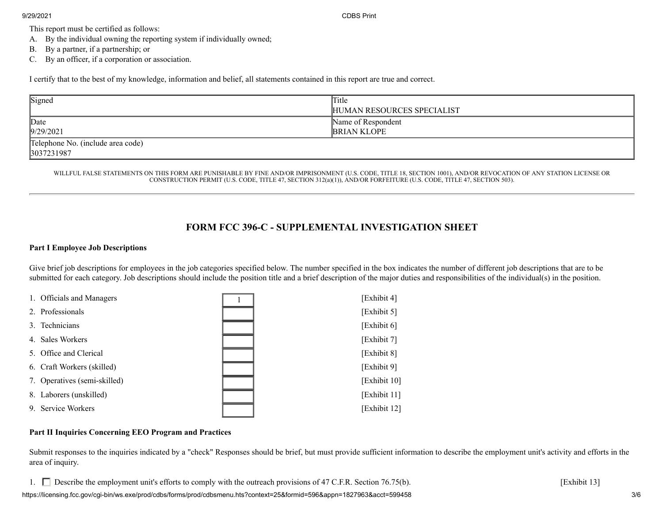9/29/2021 CDBS Print

This report must be certified as follows:

- A. By the individual owning the reporting system if individually owned;
- B. By a partner, if a partnership; or
- C. By an officer, if a corporation or association.

I certify that to the best of my knowledge, information and belief, all statements contained in this report are true and correct.

| Signed                                          | Title<br>HUMAN RESOURCES SPECIALIST      |
|-------------------------------------------------|------------------------------------------|
| Date<br>9/29/2021                               | Name of Respondent<br><b>BRIAN KLOPE</b> |
| Telephone No. (include area code)<br>3037231987 |                                          |

WILLFUL FALSE STATEMENTS ON THIS FORM ARE PUNISHABLE BY FINE AND/OR IMPRISONMENT (U.S. CODE, TITLE 18, SECTION 1001), AND/OR REVOCATION OF ANY STATION LICENSE OR CONSTRUCTION PERMIT (U.S. CODE, TITLE 47, SECTION 312(a)(1)), AND/OR FORFEITURE (U.S. CODE, TITLE 47, SECTION 503).

# **FORM FCC 396-C - SUPPLEMENTAL INVESTIGATION SHEET**

#### **Part I Employee Job Descriptions**

Give brief job descriptions for employees in the job categories specified below. The number specified in the box indicates the number of different job descriptions that are to be submitted for each category. Job descriptions should include the position title and a brief description of the major duties and responsibilities of the individual(s) in the position.

| 1. Officials and Managers    | [Exhibit 4]  |
|------------------------------|--------------|
| 2. Professionals             | [Exhibit 5]  |
| 3. Technicians               | [Exhibit 6]  |
| 4. Sales Workers             | [Exhibit 7]  |
| 5. Office and Clerical       | [Exhibit 8]  |
| 6. Craft Workers (skilled)   | [Exhibit 9]  |
| 7. Operatives (semi-skilled) | [Exhibit 10] |
| 8. Laborers (unskilled)      | [Exhibit 11] |
| 9. Service Workers           | [Exhibit 12] |

## **Part II Inquiries Concerning EEO Program and Practices**

Submit responses to the inquiries indicated by a "check" Responses should be brief, but must provide sufficient information to describe the employment unit's activity and efforts in the area of inquiry.

1. Describe the employment unit's efforts to comply with the outreach provisions of 47 C.F.R. Section 76.75(b). [Exhibit 13]

https://licensing.fcc.gov/cgi-bin/ws.exe/prod/cdbs/forms/prod/cdbsmenu.hts?context=25&formid=596&appn=1827963&acct=599458 3/6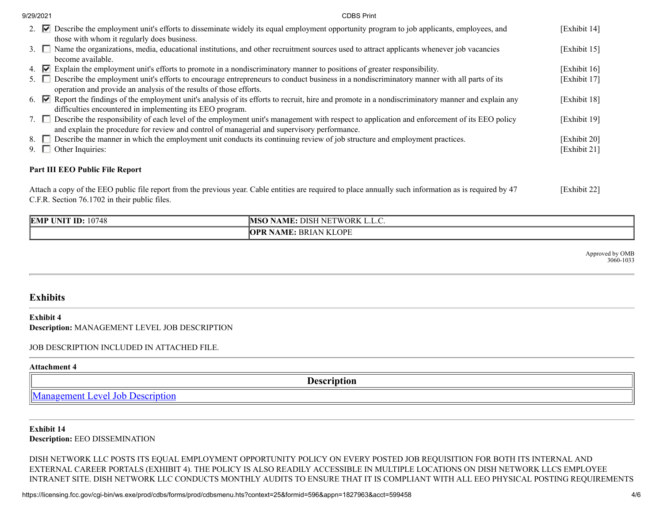| 9/29/2021 | <b>CDBS Print</b>                                                                                                                                                                                                                             |              |
|-----------|-----------------------------------------------------------------------------------------------------------------------------------------------------------------------------------------------------------------------------------------------|--------------|
|           | 2. <b>v</b> Describe the employment unit's efforts to disseminate widely its equal employment opportunity program to job applicants, employees, and                                                                                           | [Exhibit 14] |
|           | those with whom it regularly does business.<br>3. Name the organizations, media, educational institutions, and other recruitment sources used to attract applicants whenever job vacancies                                                    | [Exhibit 15] |
|           | become available.                                                                                                                                                                                                                             |              |
|           | 4. $\triangleright$ Explain the employment unit's efforts to promote in a nondiscriminatory manner to positions of greater responsibility.                                                                                                    | [Exhibit 16] |
| 5. I      | Describe the employment unit's efforts to encourage entrepreneurs to conduct business in a nondiscriminatory manner with all parts of its                                                                                                     | [Exhibit 17] |
|           | operation and provide an analysis of the results of those efforts.                                                                                                                                                                            |              |
|           | 6. $\blacktriangleright$ Report the findings of the employment unit's analysis of its efforts to recruit, hire and promote in a nondiscriminatory manner and explain any                                                                      | [Exhibit 18] |
|           | difficulties encountered in implementing its EEO program.                                                                                                                                                                                     |              |
|           | 7. Describe the responsibility of each level of the employment unit's management with respect to application and enforcement of its EEO policy<br>and explain the procedure for review and control of managerial and supervisory performance. | [Exhibit 19] |
| 8. I      | $\Box$ Describe the manner in which the employment unit conducts its continuing review of job structure and employment practices.                                                                                                             | [Exhibit 20] |
|           | $\Box$ Other Inquiries:                                                                                                                                                                                                                       | [Exhibit 21] |
|           |                                                                                                                                                                                                                                               |              |

## **Part III EEO Public File Report**

Attach a copy of the EEO public file report from the previous year. Cable entities are required to place annually such information as is required by 47 C.F.R. Section 76.1702 in their public files. [Exhibit 22]

| 10748<br><b>EMP UNIT</b><br>`ID: | $\therefore$ FWORK $^{1}$<br><b>DISF</b><br>ı NF'<br>NAME: |
|----------------------------------|------------------------------------------------------------|
|                                  | : BRIAN KLOPE<br><b>NAME:</b><br>7PR                       |

Approved by OMB 3060-1033

## **Exhibits**

#### **Exhibit 4 Description:** MANAGEMENT LEVEL JOB DESCRIPTION

## JOB DESCRIPTION INCLUDED IN ATTACHED FILE.

#### **Attachment 4**

**Description** [Management Level Job Description](https://licensing.fcc.gov/cdbs/CDBS_Attachment/getattachment.jsp?appn=1827963&qnum=5030©num=1&exhcnum=1)

# **Exhibit 14**

## **Description:** EEO DISSEMINATION

DISH NETWORK LLC POSTS ITS EQUAL EMPLOYMENT OPPORTUNITY POLICY ON EVERY POSTED JOB REQUISITION FOR BOTH ITS INTERNAL AND EXTERNAL CAREER PORTALS (EXHIBIT 4). THE POLICY IS ALSO READILY ACCESSIBLE IN MULTIPLE LOCATIONS ON DISH NETWORK LLCS EMPLOYEE INTRANET SITE. DISH NETWORK LLC CONDUCTS MONTHLY AUDITS TO ENSURE THAT IT IS COMPLIANT WITH ALL EEO PHYSICAL POSTING REQUIREMENTS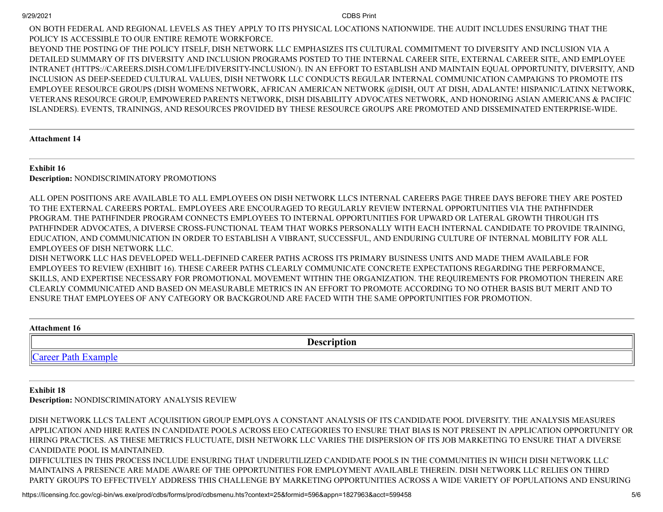ON BOTH FEDERAL AND REGIONAL LEVELS AS THEY APPLY TO ITS PHYSICAL LOCATIONS NATIONWIDE. THE AUDIT INCLUDES ENSURING THAT THE POLICY IS ACCESSIBLE TO OUR ENTIRE REMOTE WORKFORCE.

BEYOND THE POSTING OF THE POLICY ITSELF, DISH NETWORK LLC EMPHASIZES ITS CULTURAL COMMITMENT TO DIVERSITY AND INCLUSION VIA A DETAILED SUMMARY OF ITS DIVERSITY AND INCLUSION PROGRAMS POSTED TO THE INTERNAL CAREER SITE, EXTERNAL CAREER SITE, AND EMPLOYEE INTRANET (HTTPS://CAREERS.DISH.COM/LIFE/DIVERSITY-INCLUSION/). IN AN EFFORT TO ESTABLISH AND MAINTAIN EQUAL OPPORTUNITY, DIVERSITY, AND INCLUSION AS DEEP-SEEDED CULTURAL VALUES, DISH NETWORK LLC CONDUCTS REGULAR INTERNAL COMMUNICATION CAMPAIGNS TO PROMOTE ITS EMPLOYEE RESOURCE GROUPS (DISH WOMENS NETWORK, AFRICAN AMERICAN NETWORK @DISH, OUT AT DISH, ADALANTE! HISPANIC/LATINX NETWORK, VETERANS RESOURCE GROUP, EMPOWERED PARENTS NETWORK, DISH DISABILITY ADVOCATES NETWORK, AND HONORING ASIAN AMERICANS & PACIFIC ISLANDERS). EVENTS, TRAININGS, AND RESOURCES PROVIDED BY THESE RESOURCE GROUPS ARE PROMOTED AND DISSEMINATED ENTERPRISE-WIDE.

## **Attachment 14**

## **Exhibit 16**

**Description:** NONDISCRIMINATORY PROMOTIONS

ALL OPEN POSITIONS ARE AVAILABLE TO ALL EMPLOYEES ON DISH NETWORK LLCS INTERNAL CAREERS PAGE THREE DAYS BEFORE THEY ARE POSTED TO THE EXTERNAL CAREERS PORTAL. EMPLOYEES ARE ENCOURAGED TO REGULARLY REVIEW INTERNAL OPPORTUNITIES VIA THE PATHFINDER PROGRAM. THE PATHFINDER PROGRAM CONNECTS EMPLOYEES TO INTERNAL OPPORTUNITIES FOR UPWARD OR LATERAL GROWTH THROUGH ITS PATHFINDER ADVOCATES, A DIVERSE CROSS-FUNCTIONAL TEAM THAT WORKS PERSONALLY WITH EACH INTERNAL CANDIDATE TO PROVIDE TRAINING, EDUCATION, AND COMMUNICATION IN ORDER TO ESTABLISH A VIBRANT, SUCCESSFUL, AND ENDURING CULTURE OF INTERNAL MOBILITY FOR ALL EMPLOYEES OF DISH NETWORK LLC.

DISH NETWORK LLC HAS DEVELOPED WELL-DEFINED CAREER PATHS ACROSS ITS PRIMARY BUSINESS UNITS AND MADE THEM AVAILABLE FOR EMPLOYEES TO REVIEW (EXHIBIT 16). THESE CAREER PATHS CLEARLY COMMUNICATE CONCRETE EXPECTATIONS REGARDING THE PERFORMANCE, SKILLS, AND EXPERTISE NECESSARY FOR PROMOTIONAL MOVEMENT WITHIN THE ORGANIZATION. THE REQUIREMENTS FOR PROMOTION THEREIN ARE CLEARLY COMMUNICATED AND BASED ON MEASURABLE METRICS IN AN EFFORT TO PROMOTE ACCORDING TO NO OTHER BASIS BUT MERIT AND TO ENSURE THAT EMPLOYEES OF ANY CATEGORY OR BACKGROUND ARE FACED WITH THE SAME OPPORTUNITIES FOR PROMOTION.

#### **Attachment 16**

**Description**

[Career Path Example](https://licensing.fcc.gov/cdbs/CDBS_Attachment/getattachment.jsp?appn=1827963&qnum=5150©num=1&exhcnum=1)

## **Exhibit 18**

**Description:** NONDISCRIMINATORY ANALYSIS REVIEW

DISH NETWORK LLCS TALENT ACQUISITION GROUP EMPLOYS A CONSTANT ANALYSIS OF ITS CANDIDATE POOL DIVERSITY. THE ANALYSIS MEASURES APPLICATION AND HIRE RATES IN CANDIDATE POOLS ACROSS EEO CATEGORIES TO ENSURE THAT BIAS IS NOT PRESENT IN APPLICATION OPPORTUNITY OR HIRING PRACTICES. AS THESE METRICS FLUCTUATE, DISH NETWORK LLC VARIES THE DISPERSION OF ITS JOB MARKETING TO ENSURE THAT A DIVERSE CANDIDATE POOL IS MAINTAINED. DIFFICULTIES IN THIS PROCESS INCLUDE ENSURING THAT UNDERUTILIZED CANDIDATE POOLS IN THE COMMUNITIES IN WHICH DISH NETWORK LLC MAINTAINS A PRESENCE ARE MADE AWARE OF THE OPPORTUNITIES FOR EMPLOYMENT AVAILABLE THEREIN. DISH NETWORK LLC RELIES ON THIRD

PARTY GROUPS TO EFFECTIVELY ADDRESS THIS CHALLENGE BY MARKETING OPPORTUNITIES ACROSS A WIDE VARIETY OF POPULATIONS AND ENSURING